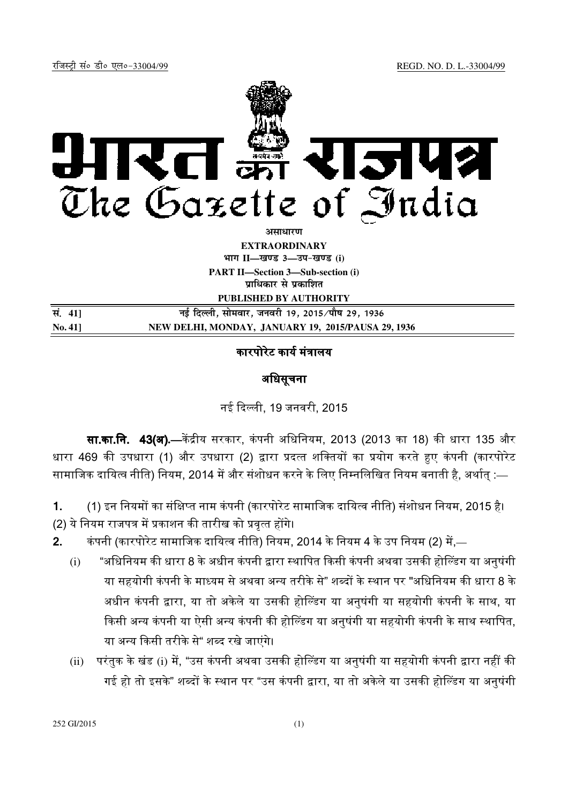

**असाधारण** 

**EXTRAORDINARY**  $4$ **HI<sup>T</sup> II—<br>***E***US** 3—34-खण्ड (i)

**PART II—Section 3—Sub-section (i) प्राधिकार से प्रकाशित** 

**PUBLISHED BY AUTHORITY**

| सं. 41]        | नई दिल्ली, सोमवार, जनवरी 19, 2015 ∕पौष 29, 1936    |
|----------------|----------------------------------------------------|
| <b>No. 411</b> | NEW DELHI, MONDAY, JANUARY 19, 2015/PAUSA 29, 1936 |

# कारपोरेट कार्य मंत्रालय

## अिधसूचना

नई द ली, 19 जनवरी, 2015

**सा.का.नि. 43(अ).**—केंद्रीय सरकार, कंपनी अधिनियम, 2013 (2013 का 18) की धारा 135 और धारा 469 की उपधारा (1) और उपधारा (2) द्वारा प्रदत्त शक्तियों का प्रयोग करते हुए कंपनी (कारपोरेट सामाजिक दायित्व नीति) नियम, 2014 में और संशोधन करने के लिए निम्नलिखित नियम बनाती है, अर्थात् :—

1. (1) इन नियमों का संक्षिप्त नाम कंपनी (कारपोरेट सामाजिक दायित्व नीति) संशोधन नियम, 2015 है। (2) ये नियम राजपत्र में प्रकाशन की तारीख को प्रवृत्त होंगे।

- 2. कंपनी (कारपोरेट सामाजिक दायित्व नीति) नियम, 2014 के नियम 4 के उप नियम (2) में,—
	- (i) "अधिनियम की धारा 8 के अधीन कंपनी द्वारा स्थापित किसी कंपनी अथवा उसकी होल्डिंग या अनुषंगी या सहयोगी कंपनी के माध्यम से अथवा अन्य तरीके से" शब्दों के स्थान पर "अधिनियम की धारा 8 के अधीन कंपनी द्वारा, या तो अकेले या उसकी होल्डिंग या अनुषंगी या सहयोगी कंपनी के साथ, या किसी अन्य कंपनी या ऐसी अन्य कंपनी की होल्डिंग या अनुषंगी या सहयोगी कंपनी के साथ स्थापित, या अन्य किसी तरीके से" शब्द रखे जाएंगे।
	- (ii) परंतुक के खंड (i) में, "उस कंपनी अथवा उसकी होल्डिंग या अनुषंगी या सहयोगी कंपनी द्वारा नहीं की गई हो तो इसके" शब्दों के स्थान पर "उस कंपनी द्वारा, या तो अकेले या उसकी होल्डिंग या अनुषंगी